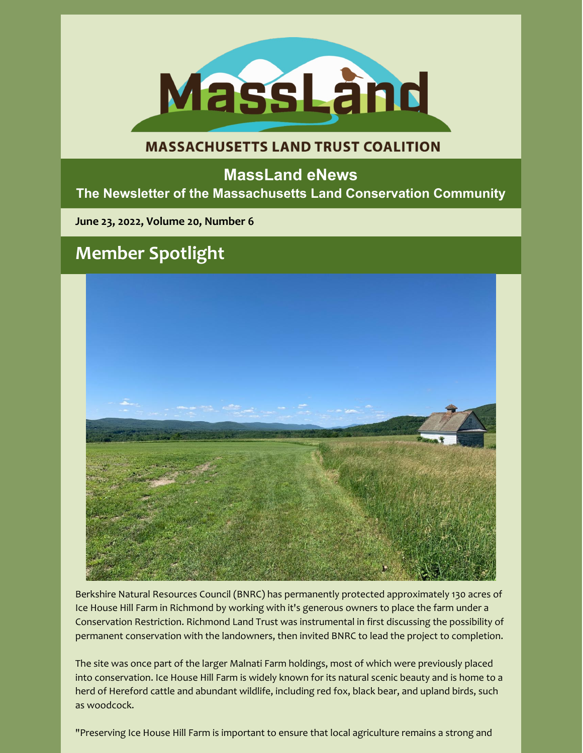

# **MASSACHUSETTS LAND TRUST COALITION**

# **MassLand eNews The Newsletter of the Massachusetts Land Conservation Community**

**June 23, 2022, Volume 20, Number 6**

# **Member Spotlight**



Berkshire Natural Resources Council (BNRC) has permanently protected approximately 130 acres of Ice House Hill Farm in Richmond by working with it's generous owners to place the farm under a Conservation Restriction. Richmond Land Trust was instrumental in first discussing the possibility of permanent conservation with the landowners, then invited BNRC to lead the project to completion.

The site was once part of the larger Malnati Farm holdings, most of which were previously placed into conservation. Ice House Hill Farm is widely known for its natural scenic beauty and is home to a herd of Hereford cattle and abundant wildlife, including red fox, black bear, and upland birds, such as woodcock.

"Preserving Ice House Hill Farm is important to ensure that local agriculture remains a strong and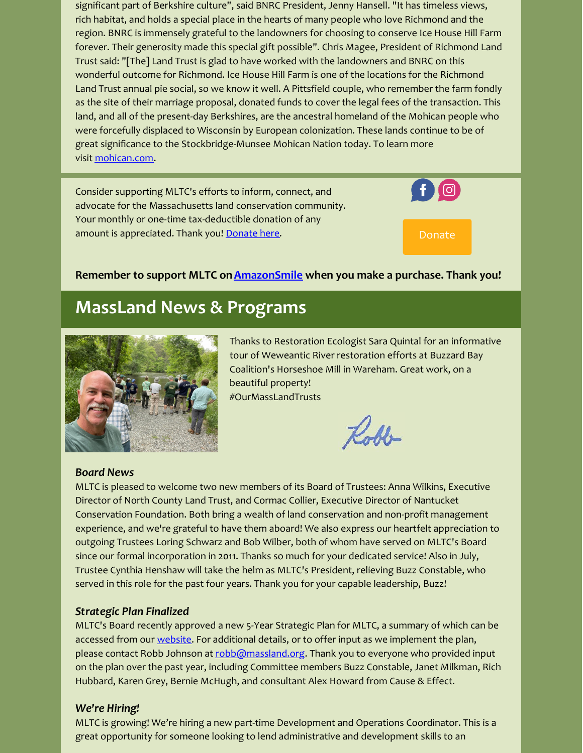significant part of Berkshire culture", said BNRC President, Jenny Hansell. "It has timeless views, rich habitat, and holds a special place in the hearts of many people who love Richmond and the region. BNRC is immensely grateful to the landowners for choosing to conserve Ice House Hill Farm forever. Their generosity made this special gift possible". Chris Magee, President of Richmond Land Trust said: "[The] Land Trust is glad to have worked with the landowners and BNRC on this wonderful outcome for Richmond. Ice House Hill Farm is one of the locations for the Richmond Land Trust annual pie social, so we know it well. A Pittsfield couple, who remember the farm fondly as the site of their marriage proposal, donated funds to cover the legal fees of the transaction. This land, and all of the present-day Berkshires, are the ancestral homeland of the Mohican people who were forcefully displaced to Wisconsin by European colonization. These lands continue to be of great significance to the Stockbridge-Munsee Mohican Nation today. To learn more visit [mohican.com](https://www.mohican.com/).

Consider supporting MLTC's efforts to inform, connect, and advocate for the Massachusetts land conservation community. Your monthly or one-time tax-deductible donation of any amount is appreciated. Thank you! [Donate](https://www.paypal.com/donate/?hosted_button_id=5EWRQ9Z9P3XA2&source=url) here. Donate here are all than Donate



# **Remember to support MLTC on[AmazonSmile](https://smile.amazon.com/ch/27-2331022?ref_=pe_undef) when you make a purchase. Thank you!**

# **MassLand News & Programs**



Thanks to Restoration Ecologist Sara Quintal for an informative tour of Weweantic River restoration efforts at Buzzard Bay Coalition's Horseshoe Mill in Wareham. Great work, on a beautiful property! #OurMassLandTrusts

Rober

#### *Board News*

MLTC is pleased to welcome two new members of its Board of Trustees: Anna Wilkins, Executive Director of North County Land Trust, and Cormac Collier, Executive Director of Nantucket Conservation Foundation. Both bring a wealth of land conservation and non-profit management experience, and we're grateful to have them aboard! We also express our heartfelt appreciation to outgoing Trustees Loring Schwarz and Bob Wilber, both of whom have served on MLTC's Board since our formal incorporation in 2011. Thanks so much for your dedicated service! Also in July, Trustee Cynthia Henshaw will take the helm as MLTC's President, relieving Buzz Constable, who served in this role for the past four years. Thank you for your capable leadership, Buzz!

# *Strategic Plan Finalized*

MLTC's Board recently approved a new 5-Year Strategic Plan for MLTC, a summary of which can be accessed from our [website](https://massland.org/about-us/strategic-plan-2022-2027). For additional details, or to offer input as we implement the plan, please contact Robb Johnson at [robb@massland.org](mailto:robb@massland.org). Thank you to everyone who provided input on the plan over the past year, including Committee members Buzz Constable, Janet Milkman, Rich Hubbard, Karen Grey, Bernie McHugh, and consultant Alex Howard from Cause & Effect.

#### *We're Hiring!*

MLTC is growing! We're hiring a new part-time Development and Operations Coordinator. This is a great opportunity for someone looking to lend administrative and development skills to an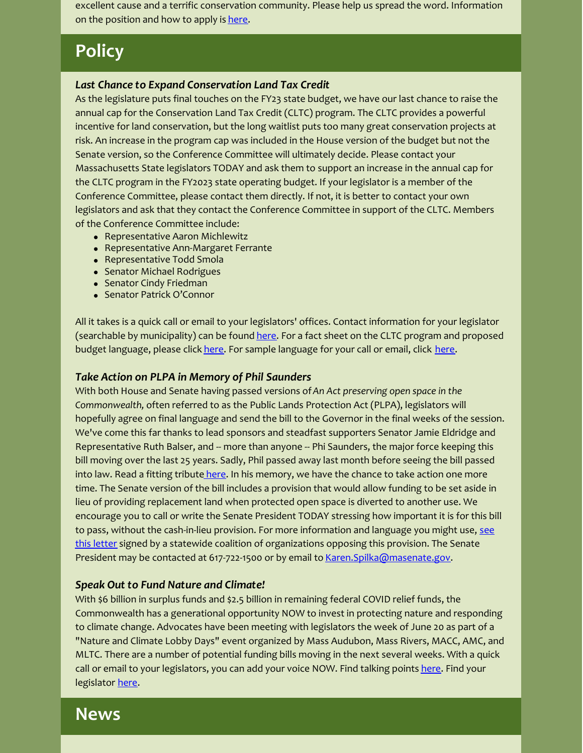excellent cause and a terrific conservation community. Please help us spread the word. Information on the position and how to apply is [here](https://massland.org/sites/default/files/files/job_description_development_and_operations_coordinator_june_2022.pdf).

# **Policy**

#### *Last Chance to Expand Conservation Land Tax Credit*

As the legislature puts final touches on the FY23 state budget, we have our last chance to raise the annual cap for the Conservation Land Tax Credit (CLTC) program. The CLTC provides a powerful incentive for land conservation, but the long waitlist puts too many great conservation projects at risk. An increase in the program cap was included in the House version of the budget but not the Senate version, so the Conference Committee will ultimately decide. Please contact your Massachusetts State legislators TODAY and ask them to support an increase in the annual cap for the CLTC program in the FY2023 state operating budget. If your legislator is a member of the Conference Committee, please contact them directly. If not, it is better to contact your own legislators and ask that they contact the Conference Committee in support of the CLTC. Members of the Conference Committee include:

- Representative Aaron Michlewitz
- Representative Ann-Margaret Ferrante
- Representative Todd Smola
- Senator Michael Rodrigues
- Senator Cindy Friedman
- Senator Patrick O'Connor

All it takes is a quick call or email to your legislators' offices. Contact information for your legislator (searchable by municipality) can be found [here](https://r20.rs6.net/tn.jsp?f=001PX6OIVeIifAv3LKMaNo_36LAPZPRmElMDw97b-vW4VUtfax5UL7uvVGkTiEus3M7FPqbV-cfY8sCf5EvJXcuszJoYJYpYxe3bMNzob9WLq9VbMw8rhCFvfJc2RGIMKELmrBfplykfd5ZJEZkkzd7-PNzyB2c-HXhCkLeDYL1dg8F5PXvTd3bCgO8Y3R_nSN_BMeZHuHXP4FCBFj0RVJRqg==&c=1JNRqbeVcFnfMx9FqlezEqKxRXjaHiDMVsRkASiUCtvgIOGptkHqwA==&ch=RA3DYOs4pPCcrVqPlGlBNGaMfxIrDBSHku7VLuQKEiipV9gwQZLa9g==). For a fact sheet on the CLTC program and proposed budget language, please click [here](https://r20.rs6.net/tn.jsp?f=001fVBnGGvVypmQwxpBZ6OvciW9Yeiyu4EEZ_wPgjbXyeQI08PEaepSlwmaww7cRX_FTCWRktKk6jp5y0KxVM4uYYB9kv2BYlt0uuEkwDgMb3c8EsmGDhzjeguQxpuzP-nF3n9eH68xXgVfHVmI-pTG4Zqb9c-FPKaxOWhMU4y7xfwkEqYb4z3sRyT_w0gzHe5Ha2N8JgsNlJh_9xXpGg9ZmsXx6Me0eUUw9tqMpxluigc=&c=&ch=). For sample language for your call or email, click here.

#### *Take Action on PLPA in Memory of Phil Saunders*

With both House and Senate having passed versions of*An Act preserving open space in the Commonwealth,* often referred to as the Public Lands Protection Act (PLPA), legislators will hopefully agree on final language and send the bill to the Governor in the final weeks of the session. We've come this far thanks to lead sponsors and steadfast supporters Senator Jamie Eldridge and Representative Ruth Balser, and -- more than anyone -- Phi Saunders, the major force keeping this bill moving over the last 25 years. Sadly, Phil passed away last month before seeing the bill passed into law. Read a fitting tribute [here](https://henryburkefuneralhome.com/book-of-memories/4932713/Saunders-Philip/index.php). In his memory, we have the chance to take action one more time. The Senate version of the bill includes a provision that would allow funding to be set aside in lieu of providing replacement land when protected open space is diverted to another use. We encourage you to call or write the Senate President TODAY stressing how important it is for this bill to pass, without the cash-in-lieu provision. For more information and language you might use, see this letter signed by a statewide coalition of [organizations](https://massland.org/sites/default/files/files/plpa_h851_reconciliation_support_letter_june_21.pdf) opposing this provision. The Senate President may be contacted at 617-722-1500 or by email to Karen. Spilka@masenate.gov.

#### *Speak Out to Fund Nature and Climate!*

With \$6 billion in surplus funds and \$2.5 billion in remaining federal COVID relief funds, the Commonwealth has a generational opportunity NOW to invest in protecting nature and responding to climate change. Advocates have been meeting with legislators the week of June 20 as part of a "Nature and Climate Lobby Days" event organized by Mass Audubon, Mass Rivers, MACC, AMC, and MLTC. There are a number of potential funding bills moving in the next several weeks. With a quick call or email to your legislators, you can add your voice NOW. Find talking points [here](https://massland.org/sites/default/files/files/funding_for_nature_fact_sheet.pdf). Find your legislator [here](https://malegislature.gov/Search/FindMyLegislator).

**News**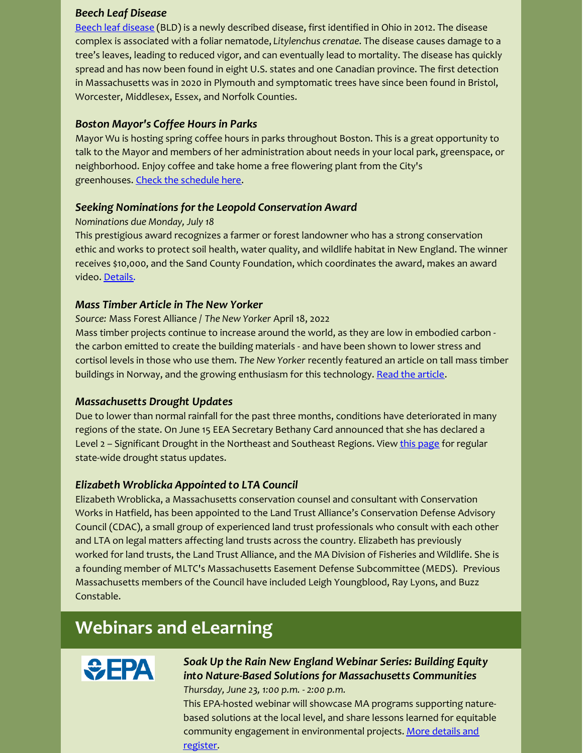#### *Beech Leaf Disease*

Beech leaf [disease](https://r20.rs6.net/tn.jsp?f=001gk496p3XoLaOZB1i2z13QgeuwsU6zFIyTjf4dPlkIwd85urgGw_WUh6ONBiMxrJB7Rfe_EcodSd6OXbqY2SAZ6nJyv3USBzaaqsepE8irj_kvSQ_KMzreQx_aU_5kiVj0r28GtO2TqIQhvitW4PwLi_8c2PDl-mjy_J70x_PhelfXVBvFoLtIo4KHKtxMCs757BRt_GXwH4=&c=-HuFI2lfxabpL4OYyZvBYxy15pMRxke5popkdaffoBCXnkP_yqOnSA==&ch=HDJS4UFL3wiDz-M5Uv6rsmeSaRH5TzJHRcjH60TmKGtu2puTswDvbQ==) (BLD) is a newly described disease, first identified in Ohio in 2012. The disease complex is associated with a foliar nematode, *Litylenchus crenatae*. The disease causes damage to a tree's leaves, leading to reduced vigor, and can eventually lead to mortality. The disease has quickly spread and has now been found in eight U.S. states and one Canadian province. The first detection in Massachusetts was in 2020 in Plymouth and symptomatic trees have since been found in Bristol, Worcester, Middlesex, Essex, and Norfolk Counties.

# *Boston Mayor's Coffee Hours in Parks*

Mayor Wu is hosting spring coffee hours in parks throughout Boston. This is a great opportunity to talk to the Mayor and members of her administration about needs in your local park, greenspace, or neighborhood. Enjoy coffee and take home a free flowering plant from the City's greenhouses. Check the [schedule](https://bostonparkadvocates.us12.list-manage.com/track/click?u=3752b100964233f924e019347&id=8b83eccf52&e=b239000ac1) here.

## *Seeking Nominations for the Leopold Conservation Award*

#### *Nominations due Monday, July 18*

This prestigious award recognizes a farmer or forest landowner who has a strong conservation ethic and works to protect soil health, water quality, and wildlife habitat in New England. The winner receives \$10,000, and the Sand County Foundation, which coordinates the award, makes an award video. [Details](https://sandcountyfoundation.org/uploads/22-CFN-NEW-ENGLAND.pdf).

## *Mass Timber Article in The New Yorker*

*Source:* Mass Forest Alliance / *The New Yorker* April 18, 2022

Mass timber projects continue to increase around the world, as they are low in embodied carbon the carbon emitted to create the building materials - and have been shown to lower stress and cortisol levels in those who use them. *The New Yorker* recently featured an article on tall mass timber buildings in Norway, and the growing enthusiasm for this technology. Read the [article](https://www.newyorker.com/magazine/2022/04/25/transforming-trees-into-skyscrapers).

#### *Massachusetts Drought Updates*

Due to lower than normal rainfall for the past three months, conditions have deteriorated in many regions of the state. On June 15 EEA Secretary Bethany Card announced that she has declared a Level 2 - Significant Drought in the Northeast and Southeast Regions. View this [page](https://www.mass.gov/info-details/drought-status) for regular state-wide drought status updates.

# *Elizabeth Wroblicka Appointed to LTA Council*

Elizabeth Wroblicka, a Massachusetts conservation counsel and consultant with Conservation Works in Hatfield, has been appointed to the Land Trust Alliance's Conservation Defense Advisory Council (CDAC), a small group of experienced land trust professionals who consult with each other and LTA on legal matters affecting land trusts across the country. Elizabeth has previously worked for land trusts, the Land Trust Alliance, and the MA Division of Fisheries and Wildlife. She is a founding member of MLTC's Massachusetts Easement Defense Subcommittee (MEDS). Previous Massachusetts members of the Council have included Leigh Youngblood, Ray Lyons, and Buzz Constable.

# **Webinars and eLearning**

register.



# *Soak Up the Rain New England Webinar Series: Building Equity into Nature-Based Solutions for Massachusetts Communities*

*Thursday, June 23, 1:00 p.m. - 2:00 p.m.* This EPA-hosted webinar will showcase MA programs supporting naturebased solutions at the local level, and share lessons learned for equitable community engagement in [environmental](https://www.epa.gov/soakuptherain/soak-rain-new-england-webinar-series?utm_source=Mass+ECAN+members&utm_campaign=cc06374885-EMAIL_CAMPAIGN_2017_11_15_COPY_01&utm_medium=email&utm_term=0_a7e8bd53ce-cc06374885-357118432#upcoming) projects. More details and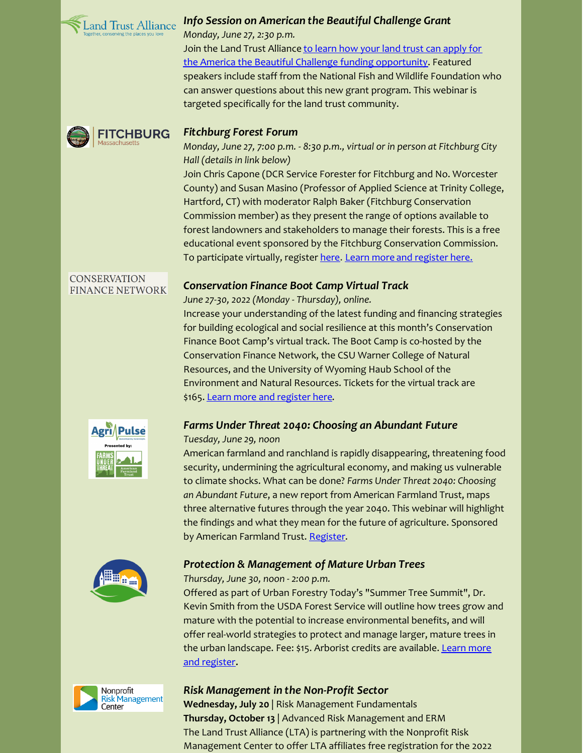

## *Info Session on American the Beautiful Challenge Grant*

*Monday, June 27, 2:30 p.m.* Join the Land Trust Alliance to learn how your land trust can apply for the America the Beautiful Challenge funding [opportunity.](https://us02web.zoom.us/meeting/register/tZAtfuusrT4vEtMOMO_Z6SW4TlMk5ecpaK3Q) Featured speakers include staff from the National Fish and Wildlife Foundation who can answer questions about this new grant program. This webinar is targeted specifically for the land trust community.



#### *Fitchburg Forest Forum*

*Monday, June 27, 7:00 p.m. - 8:30 p.m., virtual or in person at Fitchburg City Hall (details in link below)*

Join Chris Capone (DCR Service Forester for Fitchburg and No. Worcester County) and Susan Masino (Professor of Applied Science at Trinity College, Hartford, CT) with moderator Ralph Baker (Fitchburg Conservation Commission member) as they present the range of options available to forest landowners and stakeholders to manage their forests. This is a free educational event sponsored by the Fitchburg Conservation Commission. To participate virtually, register [here](https://meet.goto.com/601930549). [Learn](https://massland.org/sites/default/files/files/forest_forum.pdf) more and [register](https://us02web.zoom.us/meeting/register/tZAtfuusrT4vEtMOMO_Z6SW4TlMk5ecpaK3Q) here.

#### **CONSERVATION FINANCE NETWORK**

#### *Conservation Finance Boot Camp Virtual Track*

*June 27-30, 2022 (Monday - Thursday), online.*

Increase your understanding of the latest funding and financing strategies for building ecological and social resilience at this month's Conservation Finance Boot Camp's virtual track. The Boot Camp is co-hosted by the Conservation Finance Network, the CSU Warner College of Natural Resources, and the University of Wyoming Haub School of the Environment and Natural Resources. Tickets for the virtual track are \$165. Learn more and [register](https://highstead.us2.list-manage.com/track/click?u=9f4ae56fab64a620bf37db14c&id=137b9a58cb&e=c2eca2c926) here.



# *Farms Under Threat 2040: Choosing an Abundant Future*

#### *Tuesday, June 29, noon*

American farmland and ranchland is rapidly disappearing, threatening food security, undermining the agricultural economy, and making us vulnerable to climate shocks. What can be done? *Farms Under Threat 2040: Choosing an Abundant Future*, a new report from American Farmland Trust, maps three alternative futures through the year 2040. This webinar will highlight the findings and what they mean for the future of agriculture. Sponsored by American Farmland Trust. [Register](https://us02web.zoom.us/webinar/register/8916521280449/WN_4TJzf23rREyWGLqDYAf31w).



# *Protection & Management of Mature Urban Trees*

*Thursday, June 30, noon - 2:00 p.m.*

Offered as part of Urban Forestry Today's "Summer Tree Summit", Dr. Kevin Smith from the USDA Forest Service will outline how trees grow and mature with the potential to increase environmental benefits, and will offer real-world strategies to protect and manage larger, mature trees in the urban [landscape.](http://events.r20.constantcontact.com/register/event?oeidk=a07ej4sv1yl63fec2c7&llr=iwcbgpcab) Fee: \$15. Arborist credits are available. Learn more and register.



**Wednesday, July 20** | Risk Management Fundamentals **Thursday, October 13** | Advanced Risk Management and ERM The Land Trust Alliance (LTA) is partnering with the Nonprofit Risk Management Center to offer LTA affiliates free registration for the 2022

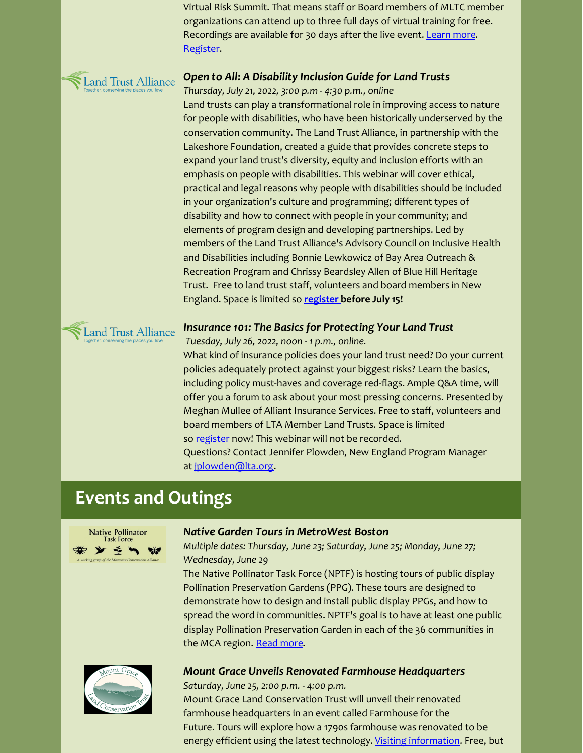Virtual Risk Summit. That means staff or Board members of MLTC member organizations can attend up to three full days of virtual training for free. Recordings are available for 30 days after the live event. [Learn](https://2022risksummit.org/session-category/risk-management-fundamentals/) more. [Register](https://www.eventbrite.com/e/2022-virtual-risk-summit-registration-251333504277).



#### *Open to All: A Disability Inclusion Guide for Land Trusts*

*Thursday, July 21, 2022, 3:00 p.m - 4:30 p.m., online*

Land trusts can play a transformational role in improving access to nature for people with disabilities, who have been historically underserved by the conservation community. The Land Trust Alliance, in partnership with the Lakeshore Foundation, created a guide that provides concrete steps to expand your land trust's diversity, equity and inclusion efforts with an emphasis on people with disabilities. This webinar will cover ethical, practical and legal reasons why people with disabilities should be included in your organization's culture and programming; different types of disability and how to connect with people in your community; and elements of program design and developing partnerships. Led by members of the Land Trust Alliance's Advisory Council on Inclusive Health and Disabilities including Bonnie Lewkowicz of Bay Area Outreach & Recreation Program and Chrissy Beardsley Allen of Blue Hill Heritage Trust. Free to land trust staff, volunteers and board members in New England. Space is limited so **[register](https://us02web.zoom.us/meeting/register/tZMvdeivqzsrEtBr9lGHYKvXHL__xV6gsz8F) before July 15!**



## *Insurance 101: The Basics for Protecting Your Land Trust*

*Tuesday, July 26, 2022, noon - 1 p.m., online.*

What kind of insurance policies does your land trust need? Do your current policies adequately protect against your biggest risks? Learn the basics, including policy must-haves and coverage red-flags. Ample Q&A time, will offer you a forum to ask about your most pressing concerns. Presented by Meghan Mullee of Alliant Insurance Services. Free to staff, volunteers and board members of LTA Member Land Trusts. Space is limited so [register](https://us02web.zoom.us/meeting/register/tZIpdeGopz8jHdbin9onJBcJV4m0i9vX7OEz) now! This webinar will not be recorded. Questions? Contact Jennifer Plowden, New England Program Manager at [jplowden@lta.org](mailto:jplowden@lta.org).

# **Events and Outings**



#### *Native Garden Tours in MetroWest Boston*

*Multiple dates: Thursday, June 23; Saturday, June 25; Monday, June 27; Wednesday, June 29*

The Native Pollinator Task Force (NPTF) is hosting tours of public display Pollination Preservation Gardens (PPG). These tours are designed to demonstrate how to design and install public display PPGs, and how to spread the word in communities. NPTF's goal is to have at least one public display Pollination Preservation Garden in each of the 36 communities in the MCA region. Read [more](https://files.constantcontact.com/42c77a5d801/831c1a7b-51df-4fc1-a7d9-d67f3d12c035.pdf).



#### *Mount Grace Unveils Renovated Farmhouse Headquarters*

*Saturday, June 25, 2:00 p.m. - 4:00 p.m.* Mount Grace Land Conservation Trust will unveil their renovated farmhouse headquarters in an event called Farmhouse for the Future. Tours will explore how a 1790s farmhouse was renovated to be energy efficient using the latest technology. Visiting [information](https://www.mountgrace.org/get-involved/events/event/farmhouse-for-the-future). Free, but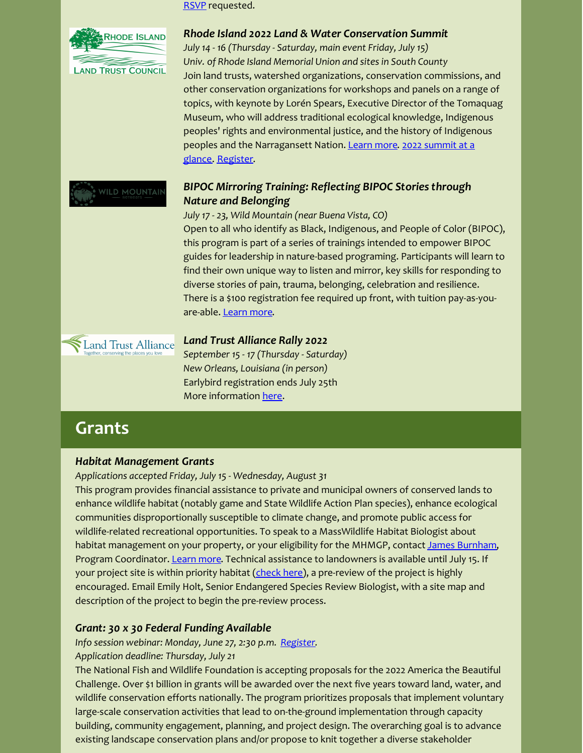

[RSVP](https://www.mountgrace.org/get-involved/rsvp-form-2) requested.

#### *Rhode Island 2022 Land & Water Conservation Summit*

*July 14 - 16 (Thursday - Saturday, main event Friday, July 15) Univ. of Rhode Island Memorial Union and sites in South County* Join land trusts, watershed organizations, conservation commissions, and other conservation organizations for workshops and panels on a range of topics, with keynote by Lorén Spears, Executive Director of the Tomaquag Museum, who will address traditional ecological knowledge, Indigenous peoples' rights and environmental justice, and the history of Indigenous peoples and the [Narragansett](https://www.landandwaterpartnership.org/summit/2022SummitAtAGlance.pdf) Nation. [Learn](https://www.landandwaterpartnership.org/) more. 2022 summit at a glance. [Register](https://www.landandwaterpartnership.org/summit_register.php).

# *BIPOC Mirroring Training: Reflecting BIPOC Stories through Nature and Belonging*

*July 17 - 23, Wild Mountain (near Buena Vista, CO)* Open to all who identify as Black, Indigenous, and People of Color (BIPOC), this program is part of a series of trainings intended to empower BIPOC guides for leadership in nature-based programing. Participants will learn to find their own unique way to listen and mirror, key skills for responding to diverse stories of pain, trauma, belonging, celebration and resilience. There is a \$100 registration fee required up front, with tuition pay-as-youare-able. [Learn](https://wildmountainretreats.org/events/bipoc-mirroring-training-reflecting-bipoc-stories-through-nature-and-belonging) more.



#### *Land Trust Alliance Rally 2022*

*September 15 - 17 (Thursday - Saturday) New Orleans, Louisiana (in person)* Earlybird registration ends July 25th More information [here](https://alliancerally.org/).

# **Grants**

# *Habitat Management Grants*

*Applications accepted Friday, July 15 - Wednesday, August 31*

This program provides financial assistance to private and municipal owners of conserved lands to enhance wildlife habitat (notably game and State Wildlife Action Plan species), enhance ecological communities disproportionally susceptible to climate change, and promote public access for wildlife-related recreational opportunities. To speak to a MassWildlife Habitat Biologist about habitat management on your property, or your eligibility for the MHMGP, contact James [Burnham](mailto:james.burnham@mass.gov), Program Coordinator. [Learn](https://www.mass.gov/news/habitat-management-grant-application-opens-mid-july) more. Technical assistance to landowners is available until July 15. If your project site is within priority habitat [\(check](https://massforestalliance.us19.list-manage.com/track/click?u=252d1e592f48c8223c65c1ece&id=a4f935bf50&e=34f762cc05) here), a pre-review of the project is highly encouraged. Email Emily Holt, Senior Endangered Species Review Biologist, with a site map and description of the project to begin the pre-review process.

# *Grant: 30 x 30 Federal Funding Available*

*Info session webinar: Monday, June 27, 2:30 p.m. [Register](https://us02web.zoom.us/meeting/register/tZAtfuusrT4vEtMOMO_Z6SW4TlMk5ecpaK3Q).*

*Application deadline: Thursday, July 21*

The National Fish and Wildlife Foundation is accepting proposals for the 2022 America the Beautiful Challenge. Over \$1 billion in grants will be awarded over the next five years toward land, water, and wildlife conservation efforts nationally. The program prioritizes proposals that implement voluntary large-scale conservation activities that lead to on-the-ground implementation through capacity building, community engagement, planning, and project design. The overarching goal is to advance existing landscape conservation plans and/or propose to knit together a diverse stakeholder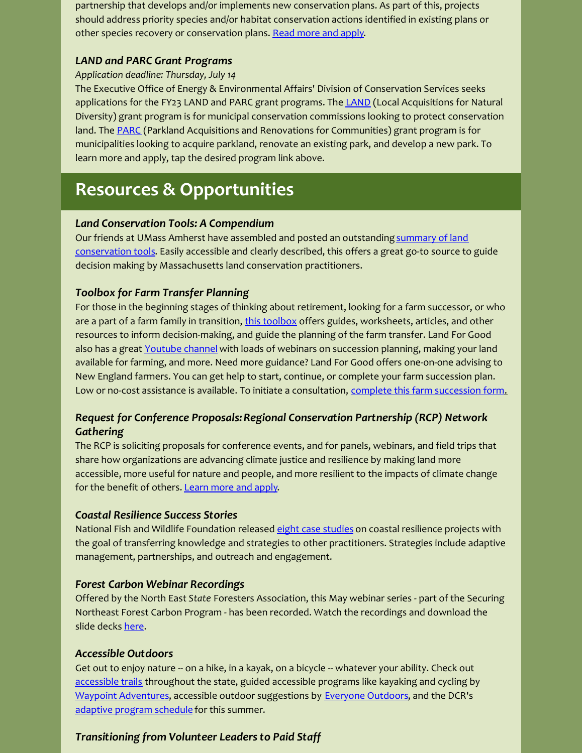partnership that develops and/or implements new conservation plans. As part of this, projects should address priority species and/or habitat conservation actions identified in existing plans or other species recovery or conservation plans. Read [more](https://www.nfwf.org/programs/america-beautiful-challenge/america-beautiful-challenge-2022-request-proposals) and apply.

# *LAND and PARC Grant Programs*

## *Application deadline: Thursday, July 14*

The Executive Office of Energy & Environmental Affairs' Division of Conservation Services seeks applications for the FY23 [LAND](https://www.mass.gov/how-to/apply-for-a-local-acquisitions-for-natural-diversity-land-grant) and PARC grant programs. The LAND (Local Acquisitions for Natural Diversity) grant program is for municipal conservation commissions looking to protect conservation land. The [PARC](https://www.mass.gov/how-to/apply-to-the-parkland-acquisitions-and-renovations-for-communities-parc-grant-program) (Parkland Acquisitions and Renovations for Communities) grant program is for municipalities looking to acquire parkland, renovate an existing park, and develop a new park. To learn more and apply, tap the desired program link above.

# **Resources & Opportunities**

# *Land Conservation Tools: A Compendium*

Our friends at UMass Amherst have assembled and posted an outstanding summary of land [conservation](https://ag.umass.edu/resources/land-conservation-tools) tools. Easily accessible and clearly described, this offers a great go-to source to guide decision making by Massachusetts land conservation practitioners.

# *Toolbox for Farm Transfer Planning*

For those in the beginning stages of thinking about retirement, looking for a farm successor, or who are a part of a farm family in transition, this [toolbox](https://landforgood.org/resources/toolbox/toolbox-farm-families/) offers guides, worksheets, articles, and other resources to inform decision-making, and guide the planning of the farm transfer. Land For Good also has a great [Youtube](https://rilandtrusts.us12.list-manage.com/track/click?u=03439dce1286e07b1d8f4387f&id=8dabd4f98b&e=660afdcffd) channel with loads of webinars on succession planning, making your land available for farming, and more. Need more guidance? Land For Good offers one-on-one advising to New England farmers. You can get help to start, continue, or complete your farm succession plan. Low or no-cost assistance is available. To initiate a consultation, complete this farm [succession](https://rilandtrusts.us12.list-manage.com/track/click?u=03439dce1286e07b1d8f4387f&id=585a09a840&e=660afdcffd) form[.](https://rilandtrusts.us12.list-manage.com/track/click?u=03439dce1286e07b1d8f4387f&id=585a09a840&e=660afdcffd)

# *Request for Conference [Proposals:Regional](https://massecan.us16.list-manage.com/track/click?u=a43d09905f9ab68a2bde1644c&id=527db9110b&e=999a9f5ef2) Conservation Partnership (RCP) Network Gathering*

The RCP is soliciting proposals for conference events, and for panels, webinars, and field trips that share how organizations are advancing climate justice and resilience by making land more accessible, more useful for nature and people, and more resilient to the impacts of climate change for the benefit of others. [Learn](https://wildlandsandwoodlands.org/news-and-stories/request-for-proposals-2022-rcp-network-gathering-on-climate-justice-and-resilience/?utm_source=Mass+ECAN+members&utm_campaign=cc06374885-EMAIL_CAMPAIGN_2017_11_15_COPY_01&utm_medium=email&utm_term=0_a7e8bd53ce-cc06374885-357118432) more and apply.

# *Coastal Resilience Success Stories*

National Fish and Wildlife Foundation released eight case [studies](https://massecan.us16.list-manage.com/track/click?u=a43d09905f9ab68a2bde1644c&id=11827457a0&e=999a9f5ef2) on coastal resilience projects with the goal of transferring knowledge and strategies to other practitioners. Strategies include adaptive management, partnerships, and outreach and engagement.

#### *Forest Carbon Webinar Recordings*

Offered by the North East *State* Foresters Association, this May webinar series - part of the Securing Northeast Forest Carbon Program - has been recorded. Watch the recordings and download the slide decks [here](https://www.northeastforestcarbon.org/webinar-recordings/).

# *Accessible Outdoors*

Get out to enjoy nature -- on a hike, in a kayak, on a bicycle -- whatever your ability. Check out [accessible](https://www.mass.gov/info-details/accessible-trails) trails throughout the state, guided accessible programs like kayaking and cycling by Waypoint [Adventures](https://www.waypointadventure.org/), accessible outdoor suggestions by [Everyone](https://everyoneoutdoors.blogspot.com/p/covid-era-trail-recommendations.html) Outdoors, and the DCR's adaptive program [schedule](https://www.mass.gov/info-details/adaptive-program-schedule) for this summer.

# *Transitioning from Volunteer Leaders to Paid Staff*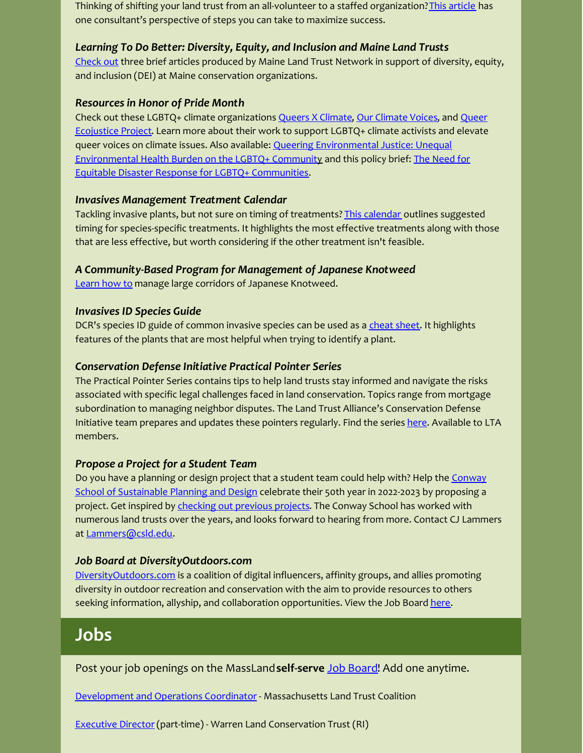Thinking of shifting your land trust from an all-volunteer to a staffed organization? This [article](https://blueavocado.org/board-of-directors/passion-meets-professionalism-transitioning-from-volunteer-leaders-to-paid-staff/) has one consultant's perspective of steps you can take to maximize success.

#### *Learning To Do Better: Diversity, Equity, and Inclusion and Maine Land Trusts*

[Check](https://www.mltn.org/learning-to-do-better/?__vbtrk=MTAxNDAzOjU3NDMxNDA5Om5ld3NsZXR0ZXI=&_uax=MTAxNDAzOjU3NDMxNDA5) out three brief articles produced by Maine Land Trust Network in support of diversity, equity, and inclusion (DEI) at Maine conservation organizations.

#### *Resources in Honor of Pride Month*

Check out these LGBTQ+ climate [organizations](https://massecan.us16.list-manage.com/track/click?u=a43d09905f9ab68a2bde1644c&id=3c4f5632f5&e=999a9f5ef2) Queers X [Climate](https://massecan.us16.list-manage.com/track/click?u=a43d09905f9ab68a2bde1644c&id=481dc116ab&e=999a9f5ef2), Our [Climate](https://massecan.us16.list-manage.com/track/click?u=a43d09905f9ab68a2bde1644c&id=383cf79e3c&e=999a9f5ef2) Voices, and Queer Ecojustice Project. Learn more about their work to support LGBTQ+ climate activists and elevate queer voices on climate issues. Also available: Queering [Environmental](https://massecan.us16.list-manage.com/track/click?u=a43d09905f9ab68a2bde1644c&id=b5fcda1c9f&e=999a9f5ef2) Justice: Unequal [Environmental](https://massecan.us16.list-manage.com/track/click?u=a43d09905f9ab68a2bde1644c&id=1249795186&e=999a9f5ef2) Health Burden on the LGBTQ+ Communi[ty](https://massecan.us16.list-manage.com/track/click?u=a43d09905f9ab68a2bde1644c&id=b5fcda1c9f&e=999a9f5ef2) and this policy brief: The Need for Equitable Disaster Response for LGBTQ+ Communities.

## *Invasives Management Treatment Calendar*

Tackling invasive plants, but not sure on timing of treatments? This [calendar](https://r20.rs6.net/tn.jsp?f=001gk496p3XoLaOZB1i2z13QgeuwsU6zFIyTjf4dPlkIwd85urgGw_WUk_DY7Ps9S0JGYEOXjpq8AnGDawjI4J2yrjt0xbmitvvZ7tjB65t23V-ssRfi9SQo-GpvQ9c_cUUQUwZv3RzmmtX1C2OxsXGkri5gGMIZ76Q6x2kz_s7KZsdKXUm2g_mba0bc3dtENEnd4ts5MxSUAchZcRZ_DHUSooIgLmVpP8gC1ZImCqEF4EiZg_U4OkR1gNKI_fKURCc0g_lwlnh9GiGQyvB5G1-QYU3Gvht6wvVBZMd_QY6iUJHNhXPdMxQVlpcu6E0_QhY&c=-HuFI2lfxabpL4OYyZvBYxy15pMRxke5popkdaffoBCXnkP_yqOnSA==&ch=HDJS4UFL3wiDz-M5Uv6rsmeSaRH5TzJHRcjH60TmKGtu2puTswDvbQ==) outlines suggested timing for species-specific treatments. It highlights the most effective treatments along with those that are less effective, but worth considering if the other treatment isn't feasible.

## *A Community-Based Program for Management of Japanese Knotweed*

[Learn](https://www.ecolandscaping.org/05/landscape-challenges/invasive-plants/a-community-based-program-for-management-of-japanese-knotweed/) how to manage large corridors of Japanese Knotweed.

#### *Invasives ID Species Guide*

DCR's species ID guide of common invasive species can be used as a cheat [sheet.](https://docs.google.com/presentation/d/1Uym1TmPO5pOFqOoAT8hcVk839NCk1Ip52ZCnXaYBtgE/edit#slide=id.p3) It highlights features of the plants that are most helpful when trying to identify a plant.

## *Conservation Defense Initiative Practical Pointer Series*

The Practical Pointer Series contains tips to help land trusts stay informed and navigate the risks associated with specific legal challenges faced in land conservation. Topics range from mortgage subordination to managing neighbor disputes. The Land Trust Alliance's Conservation Defense Initiative team prepares and updates these pointers regularly. Find the series [here](https://rilandtrusts.us12.list-manage.com/track/click?u=03439dce1286e07b1d8f4387f&id=206f91ac72&e=660afdcffd). Available to LTA members.

#### *Propose a Project for a Student Team*

Do you have a planning or design project that a student team could help with? Help the Conway School of [Sustainable](https://csld.edu/) Planning and Design celebrate their 50th year in 2022-2023 by proposing a project. Get inspired by [checking](https://issuu.com/conwaydesign) out previous projects. The Conway School has worked with numerous land trusts over the years, and looks forward to hearing from more. Contact CJ Lammers at [Lammers@csld.edu](mailto:Lammers@csld.edu).

#### *Job Board at DiversityOutdoors.com*

[DiversityOutdoors.com](https://www.diversifyoutdoors.com/) is a coalition of digital influencers, affinity groups, and allies promoting diversity in outdoor recreation and conservation with the aim to provide resources to others seeking information, allyship, and collaboration opportunities. View the Job Board [here](https://diversifyoutdoors.mcjobboard.net/jobs).

# **Jobs**

Post your job openings on the MassLand**self-serve** Job [Board](https://massland.org/resources/conservation-job-board)! Add one anytime.

[Development](https://massland.org/jobs/development-and-operations-coordinator) and Operations Coordinator - Massachusetts Land Trust Coalition

**[Executive](https://massland.org/jobs/executive-director-part-time) Director (part-time) - Warren Land Conservation Trust (RI)**